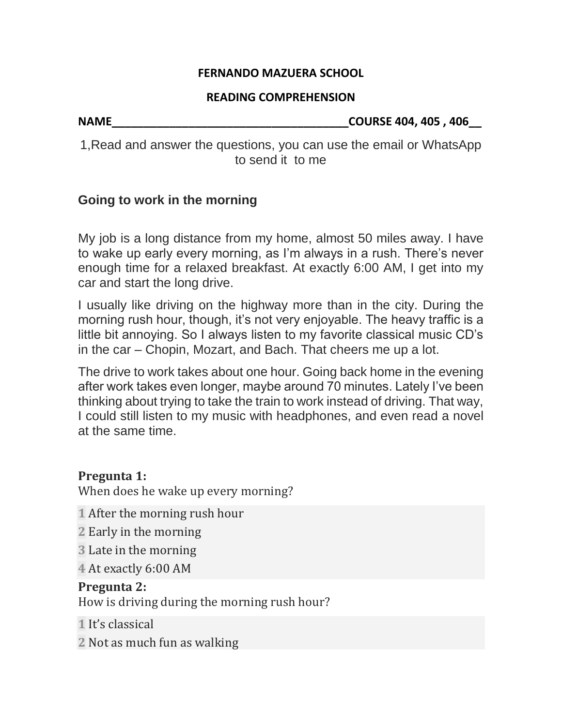#### **FERNANDO MAZUERA SCHOOL**

#### **READING COMPREHENSION**

**NAME\_\_\_\_\_\_\_\_\_\_\_\_\_\_\_\_\_\_\_\_\_\_\_\_\_\_\_\_\_\_\_\_\_\_\_\_\_COURSE 404, 405 , 406\_\_**

1,Read and answer the questions, you can use the email or WhatsApp to send it to me

## **Going to work in the morning**

My job is a long distance from my home, almost 50 miles away. I have to wake up early every morning, as I'm always in a rush. There's never enough time for a relaxed breakfast. At exactly 6:00 AM, I get into my car and start the long drive.

I usually like driving on the highway more than in the city. During the morning rush hour, though, it's not very enjoyable. The heavy traffic is a little bit annoying. So I always listen to my favorite classical music CD's in the car – Chopin, Mozart, and Bach. That cheers me up a lot.

The drive to work takes about one hour. Going back home in the evening after work takes even longer, maybe around 70 minutes. Lately I've been thinking about trying to take the train to work instead of driving. That way, I could still listen to my music with headphones, and even read a novel at the same time.

## **Pregunta 1:**

When does he wake up every morning?

- **1** After the morning rush hour
- **2** Early in the morning
- **3** Late in the morning
- **4** At exactly 6:00 AM

## **Pregunta 2:**

How is driving during the morning rush hour?

- **1** It's classical
- **2** Not as much fun as walking